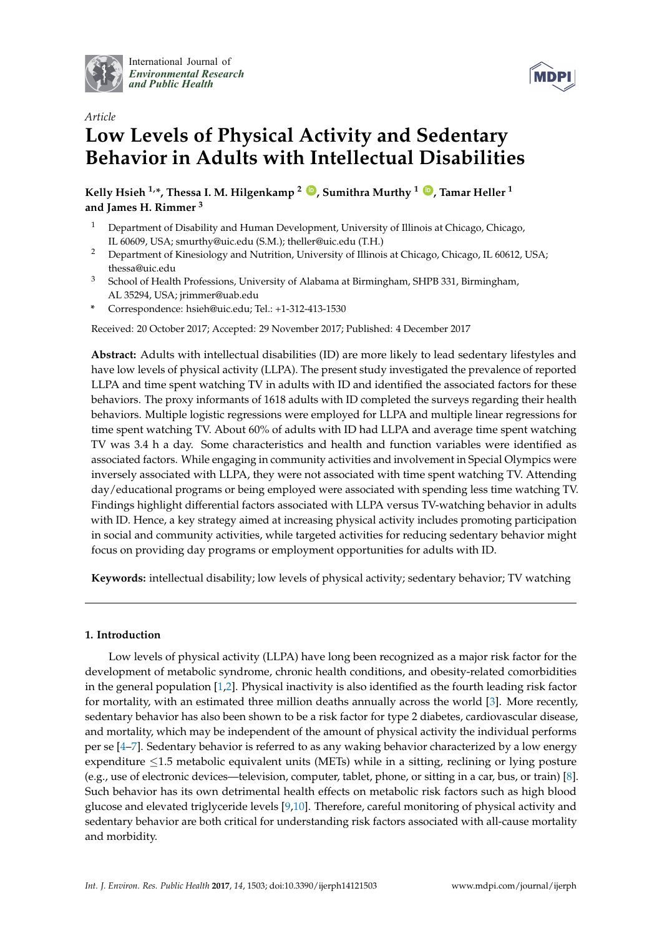

International Journal of *[Environmental Research](http://www.mdpi.com/journal/ijerph) and Public Health*



# *Article* **Low Levels of Physical Activity and Sedentary Behavior in Adults with Intellectual Disabilities**

**Kelly Hsieh** <sup>1,\*</sup>, Thessa I. M. Hilgenkamp<sup>2</sup> **D**, Sumithra Murthy<sup>1</sup> **D**, Tamar Heller<sup>1</sup> **and James H. Rimmer <sup>3</sup>**

- <sup>1</sup> Department of Disability and Human Development, University of Illinois at Chicago, Chicago, IL 60609, USA; smurthy@uic.edu (S.M.); theller@uic.edu (T.H.)
- <sup>2</sup> Department of Kinesiology and Nutrition, University of Illinois at Chicago, Chicago, IL 60612, USA; thessa@uic.edu
- <sup>3</sup> School of Health Professions, University of Alabama at Birmingham, SHPB 331, Birmingham, AL 35294, USA; jrimmer@uab.edu
- **\*** Correspondence: hsieh@uic.edu; Tel.: +1-312-413-1530

Received: 20 October 2017; Accepted: 29 November 2017; Published: 4 December 2017

**Abstract:** Adults with intellectual disabilities (ID) are more likely to lead sedentary lifestyles and have low levels of physical activity (LLPA). The present study investigated the prevalence of reported LLPA and time spent watching TV in adults with ID and identified the associated factors for these behaviors. The proxy informants of 1618 adults with ID completed the surveys regarding their health behaviors. Multiple logistic regressions were employed for LLPA and multiple linear regressions for time spent watching TV. About 60% of adults with ID had LLPA and average time spent watching TV was 3.4 h a day. Some characteristics and health and function variables were identified as associated factors. While engaging in community activities and involvement in Special Olympics were inversely associated with LLPA, they were not associated with time spent watching TV. Attending day/educational programs or being employed were associated with spending less time watching TV. Findings highlight differential factors associated with LLPA versus TV-watching behavior in adults with ID. Hence, a key strategy aimed at increasing physical activity includes promoting participation in social and community activities, while targeted activities for reducing sedentary behavior might focus on providing day programs or employment opportunities for adults with ID.

**Keywords:** intellectual disability; low levels of physical activity; sedentary behavior; TV watching

# **1. Introduction**

Low levels of physical activity (LLPA) have long been recognized as a major risk factor for the development of metabolic syndrome, chronic health conditions, and obesity-related comorbidities in the general population [\[1](#page-14-0)[,2\]](#page-14-1). Physical inactivity is also identified as the fourth leading risk factor for mortality, with an estimated three million deaths annually across the world [\[3\]](#page-14-2). More recently, sedentary behavior has also been shown to be a risk factor for type 2 diabetes, cardiovascular disease, and mortality, which may be independent of the amount of physical activity the individual performs per se [\[4](#page-14-3)[–7\]](#page-14-4). Sedentary behavior is referred to as any waking behavior characterized by a low energy expenditure ≤1.5 metabolic equivalent units (METs) while in a sitting, reclining or lying posture (e.g., use of electronic devices—television, computer, tablet, phone, or sitting in a car, bus, or train) [\[8\]](#page-14-5). Such behavior has its own detrimental health effects on metabolic risk factors such as high blood glucose and elevated triglyceride levels [\[9](#page-14-6)[,10\]](#page-14-7). Therefore, careful monitoring of physical activity and sedentary behavior are both critical for understanding risk factors associated with all-cause mortality and morbidity.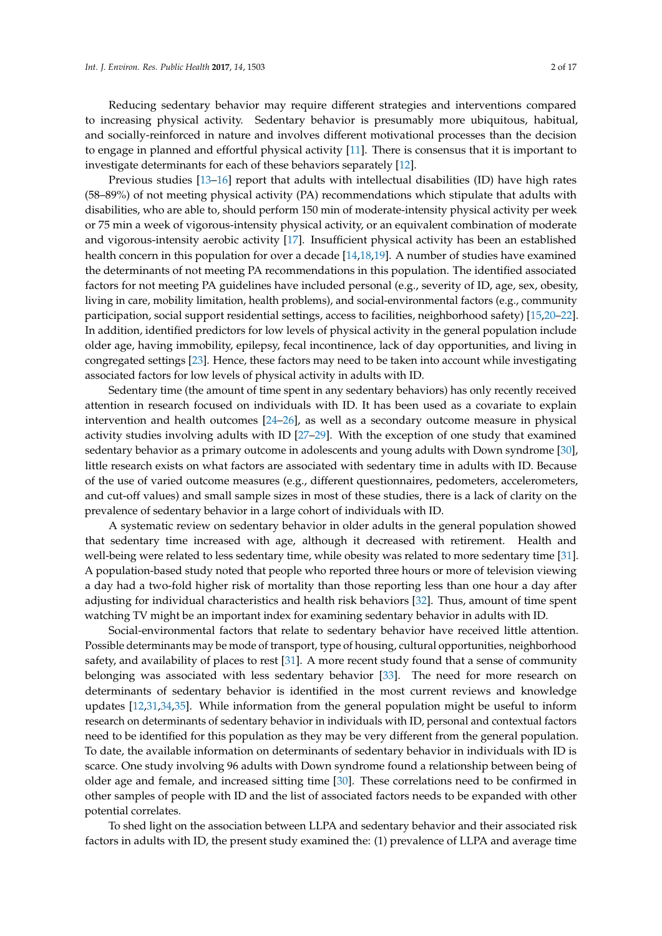Reducing sedentary behavior may require different strategies and interventions compared to increasing physical activity. Sedentary behavior is presumably more ubiquitous, habitual, and socially-reinforced in nature and involves different motivational processes than the decision to engage in planned and effortful physical activity [\[11\]](#page-14-8). There is consensus that it is important to investigate determinants for each of these behaviors separately [\[12\]](#page-15-0).

Previous studies [\[13](#page-15-1)[–16\]](#page-15-2) report that adults with intellectual disabilities (ID) have high rates (58–89%) of not meeting physical activity (PA) recommendations which stipulate that adults with disabilities, who are able to, should perform 150 min of moderate-intensity physical activity per week or 75 min a week of vigorous-intensity physical activity, or an equivalent combination of moderate and vigorous-intensity aerobic activity [\[17\]](#page-15-3). Insufficient physical activity has been an established health concern in this population for over a decade [\[14](#page-15-4)[,18](#page-15-5)[,19\]](#page-15-6). A number of studies have examined the determinants of not meeting PA recommendations in this population. The identified associated factors for not meeting PA guidelines have included personal (e.g., severity of ID, age, sex, obesity, living in care, mobility limitation, health problems), and social-environmental factors (e.g., community participation, social support residential settings, access to facilities, neighborhood safety) [\[15,](#page-15-7)[20–](#page-15-8)[22\]](#page-15-9). In addition, identified predictors for low levels of physical activity in the general population include older age, having immobility, epilepsy, fecal incontinence, lack of day opportunities, and living in congregated settings [\[23\]](#page-15-10). Hence, these factors may need to be taken into account while investigating associated factors for low levels of physical activity in adults with ID.

Sedentary time (the amount of time spent in any sedentary behaviors) has only recently received attention in research focused on individuals with ID. It has been used as a covariate to explain intervention and health outcomes [\[24](#page-15-11)[–26\]](#page-15-12), as well as a secondary outcome measure in physical activity studies involving adults with ID [\[27](#page-15-13)[–29\]](#page-15-14). With the exception of one study that examined sedentary behavior as a primary outcome in adolescents and young adults with Down syndrome [\[30\]](#page-15-15), little research exists on what factors are associated with sedentary time in adults with ID. Because of the use of varied outcome measures (e.g., different questionnaires, pedometers, accelerometers, and cut-off values) and small sample sizes in most of these studies, there is a lack of clarity on the prevalence of sedentary behavior in a large cohort of individuals with ID.

A systematic review on sedentary behavior in older adults in the general population showed that sedentary time increased with age, although it decreased with retirement. Health and well-being were related to less sedentary time, while obesity was related to more sedentary time [\[31\]](#page-15-16). A population-based study noted that people who reported three hours or more of television viewing a day had a two-fold higher risk of mortality than those reporting less than one hour a day after adjusting for individual characteristics and health risk behaviors [\[32\]](#page-16-0). Thus, amount of time spent watching TV might be an important index for examining sedentary behavior in adults with ID.

Social-environmental factors that relate to sedentary behavior have received little attention. Possible determinants may be mode of transport, type of housing, cultural opportunities, neighborhood safety, and availability of places to rest [\[31\]](#page-15-16). A more recent study found that a sense of community belonging was associated with less sedentary behavior [\[33\]](#page-16-1). The need for more research on determinants of sedentary behavior is identified in the most current reviews and knowledge updates [\[12](#page-15-0)[,31](#page-15-16)[,34](#page-16-2)[,35\]](#page-16-3). While information from the general population might be useful to inform research on determinants of sedentary behavior in individuals with ID, personal and contextual factors need to be identified for this population as they may be very different from the general population. To date, the available information on determinants of sedentary behavior in individuals with ID is scarce. One study involving 96 adults with Down syndrome found a relationship between being of older age and female, and increased sitting time [\[30\]](#page-15-15). These correlations need to be confirmed in other samples of people with ID and the list of associated factors needs to be expanded with other potential correlates.

To shed light on the association between LLPA and sedentary behavior and their associated risk factors in adults with ID, the present study examined the: (1) prevalence of LLPA and average time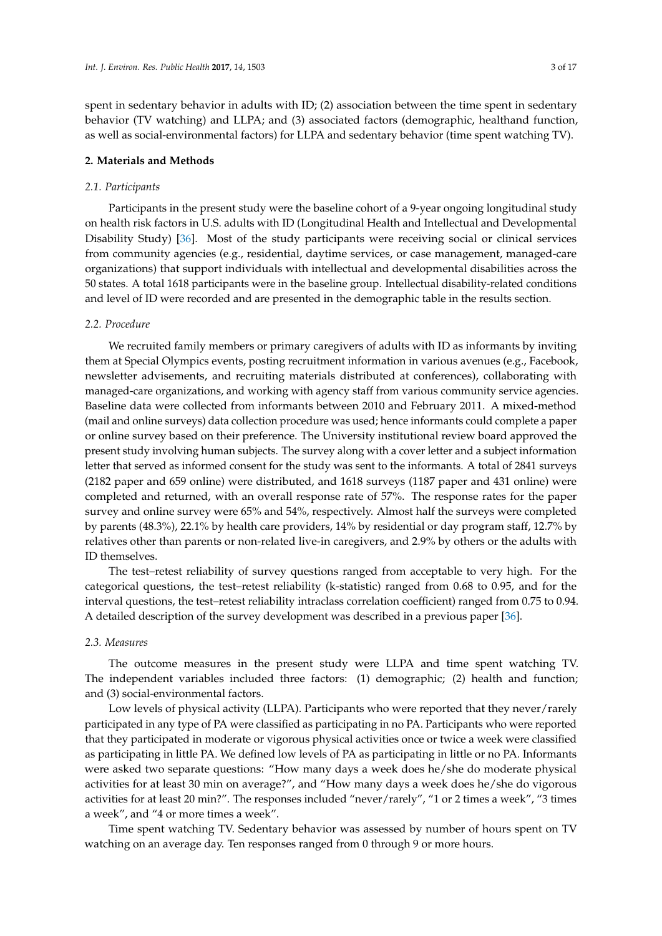spent in sedentary behavior in adults with ID; (2) association between the time spent in sedentary behavior (TV watching) and LLPA; and (3) associated factors (demographic, healthand function, as well as social-environmental factors) for LLPA and sedentary behavior (time spent watching TV).

#### **2. Materials and Methods**

## *2.1. Participants*

Participants in the present study were the baseline cohort of a 9-year ongoing longitudinal study on health risk factors in U.S. adults with ID (Longitudinal Health and Intellectual and Developmental Disability Study) [\[36\]](#page-16-4). Most of the study participants were receiving social or clinical services from community agencies (e.g., residential, daytime services, or case management, managed-care organizations) that support individuals with intellectual and developmental disabilities across the 50 states. A total 1618 participants were in the baseline group. Intellectual disability-related conditions and level of ID were recorded and are presented in the demographic table in the results section.

#### *2.2. Procedure*

We recruited family members or primary caregivers of adults with ID as informants by inviting them at Special Olympics events, posting recruitment information in various avenues (e.g., Facebook, newsletter advisements, and recruiting materials distributed at conferences), collaborating with managed-care organizations, and working with agency staff from various community service agencies. Baseline data were collected from informants between 2010 and February 2011. A mixed-method (mail and online surveys) data collection procedure was used; hence informants could complete a paper or online survey based on their preference. The University institutional review board approved the present study involving human subjects. The survey along with a cover letter and a subject information letter that served as informed consent for the study was sent to the informants. A total of 2841 surveys (2182 paper and 659 online) were distributed, and 1618 surveys (1187 paper and 431 online) were completed and returned, with an overall response rate of 57%. The response rates for the paper survey and online survey were 65% and 54%, respectively. Almost half the surveys were completed by parents (48.3%), 22.1% by health care providers, 14% by residential or day program staff, 12.7% by relatives other than parents or non-related live-in caregivers, and 2.9% by others or the adults with ID themselves.

The test–retest reliability of survey questions ranged from acceptable to very high. For the categorical questions, the test–retest reliability (k-statistic) ranged from 0.68 to 0.95, and for the interval questions, the test–retest reliability intraclass correlation coefficient) ranged from 0.75 to 0.94. A detailed description of the survey development was described in a previous paper [\[36\]](#page-16-4).

#### *2.3. Measures*

The outcome measures in the present study were LLPA and time spent watching TV. The independent variables included three factors: (1) demographic; (2) health and function; and (3) social-environmental factors.

Low levels of physical activity (LLPA). Participants who were reported that they never/rarely participated in any type of PA were classified as participating in no PA. Participants who were reported that they participated in moderate or vigorous physical activities once or twice a week were classified as participating in little PA. We defined low levels of PA as participating in little or no PA. Informants were asked two separate questions: "How many days a week does he/she do moderate physical activities for at least 30 min on average?", and "How many days a week does he/she do vigorous activities for at least 20 min?". The responses included "never/rarely", "1 or 2 times a week", "3 times a week", and "4 or more times a week".

Time spent watching TV. Sedentary behavior was assessed by number of hours spent on TV watching on an average day. Ten responses ranged from 0 through 9 or more hours.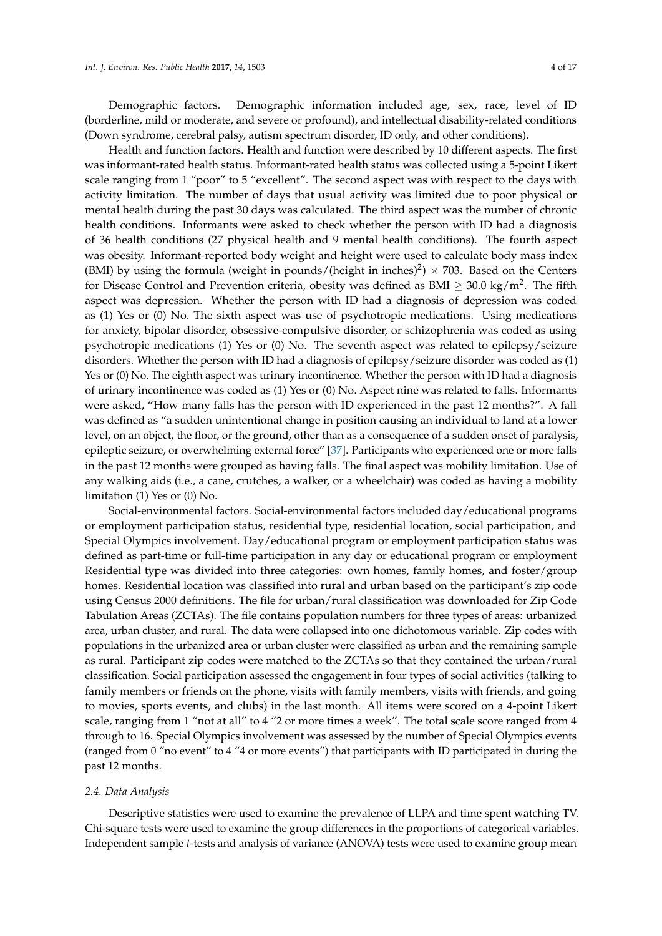Demographic factors. Demographic information included age, sex, race, level of ID (borderline, mild or moderate, and severe or profound), and intellectual disability-related conditions (Down syndrome, cerebral palsy, autism spectrum disorder, ID only, and other conditions).

Health and function factors. Health and function were described by 10 different aspects. The first was informant-rated health status. Informant-rated health status was collected using a 5-point Likert scale ranging from 1 "poor" to 5 "excellent". The second aspect was with respect to the days with activity limitation. The number of days that usual activity was limited due to poor physical or mental health during the past 30 days was calculated. The third aspect was the number of chronic health conditions. Informants were asked to check whether the person with ID had a diagnosis of 36 health conditions (27 physical health and 9 mental health conditions). The fourth aspect was obesity. Informant-reported body weight and height were used to calculate body mass index (BMI) by using the formula (weight in pounds/(height in inches)<sup>2</sup>)  $\times$  703. Based on the Centers for Disease Control and Prevention criteria, obesity was defined as BMI  $\geq 30.0 \text{ kg/m}^2$ . The fifth aspect was depression. Whether the person with ID had a diagnosis of depression was coded as (1) Yes or (0) No. The sixth aspect was use of psychotropic medications. Using medications for anxiety, bipolar disorder, obsessive-compulsive disorder, or schizophrenia was coded as using psychotropic medications (1) Yes or (0) No. The seventh aspect was related to epilepsy/seizure disorders. Whether the person with ID had a diagnosis of epilepsy/seizure disorder was coded as (1) Yes or (0) No. The eighth aspect was urinary incontinence. Whether the person with ID had a diagnosis of urinary incontinence was coded as (1) Yes or (0) No. Aspect nine was related to falls. Informants were asked, "How many falls has the person with ID experienced in the past 12 months?". A fall was defined as "a sudden unintentional change in position causing an individual to land at a lower level, on an object, the floor, or the ground, other than as a consequence of a sudden onset of paralysis, epileptic seizure, or overwhelming external force" [\[37\]](#page-16-5). Participants who experienced one or more falls in the past 12 months were grouped as having falls. The final aspect was mobility limitation. Use of any walking aids (i.e., a cane, crutches, a walker, or a wheelchair) was coded as having a mobility limitation (1) Yes or (0) No.

Social-environmental factors. Social-environmental factors included day/educational programs or employment participation status, residential type, residential location, social participation, and Special Olympics involvement. Day/educational program or employment participation status was defined as part-time or full-time participation in any day or educational program or employment Residential type was divided into three categories: own homes, family homes, and foster/group homes. Residential location was classified into rural and urban based on the participant's zip code using Census 2000 definitions. The file for urban/rural classification was downloaded for Zip Code Tabulation Areas (ZCTAs). The file contains population numbers for three types of areas: urbanized area, urban cluster, and rural. The data were collapsed into one dichotomous variable. Zip codes with populations in the urbanized area or urban cluster were classified as urban and the remaining sample as rural. Participant zip codes were matched to the ZCTAs so that they contained the urban/rural classification. Social participation assessed the engagement in four types of social activities (talking to family members or friends on the phone, visits with family members, visits with friends, and going to movies, sports events, and clubs) in the last month. All items were scored on a 4-point Likert scale, ranging from 1 "not at all" to 4 "2 or more times a week". The total scale score ranged from 4 through to 16. Special Olympics involvement was assessed by the number of Special Olympics events (ranged from 0 "no event" to 4 "4 or more events") that participants with ID participated in during the past 12 months.

#### *2.4. Data Analysis*

Descriptive statistics were used to examine the prevalence of LLPA and time spent watching TV. Chi-square tests were used to examine the group differences in the proportions of categorical variables. Independent sample *t*-tests and analysis of variance (ANOVA) tests were used to examine group mean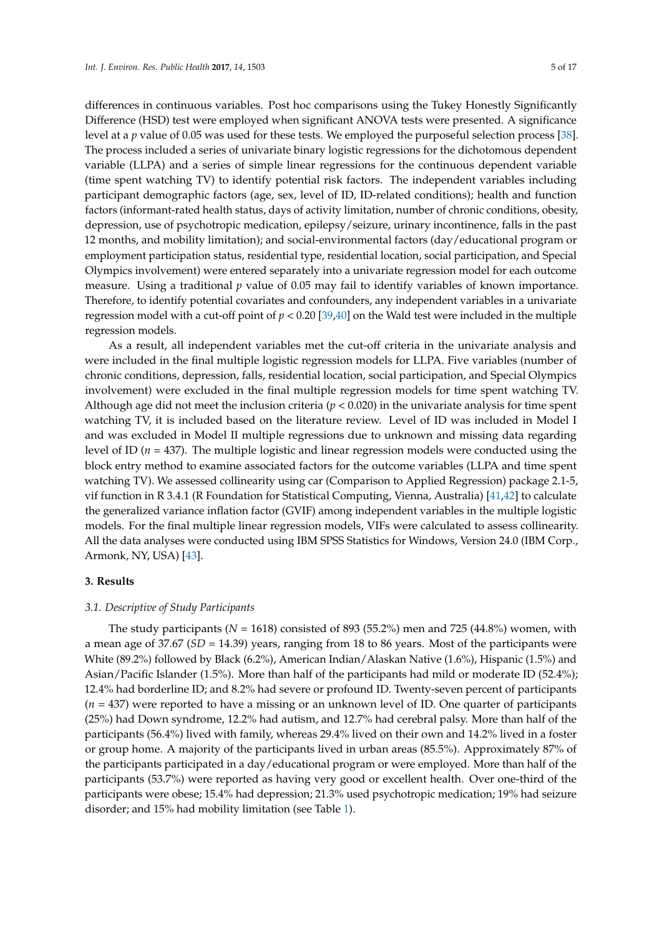differences in continuous variables. Post hoc comparisons using the Tukey Honestly Significantly Difference (HSD) test were employed when significant ANOVA tests were presented. A significance level at a *p* value of 0.05 was used for these tests. We employed the purposeful selection process [\[38\]](#page-16-6). The process included a series of univariate binary logistic regressions for the dichotomous dependent variable (LLPA) and a series of simple linear regressions for the continuous dependent variable (time spent watching TV) to identify potential risk factors. The independent variables including participant demographic factors (age, sex, level of ID, ID-related conditions); health and function factors (informant-rated health status, days of activity limitation, number of chronic conditions, obesity, depression, use of psychotropic medication, epilepsy/seizure, urinary incontinence, falls in the past 12 months, and mobility limitation); and social-environmental factors (day/educational program or employment participation status, residential type, residential location, social participation, and Special Olympics involvement) were entered separately into a univariate regression model for each outcome measure. Using a traditional *p* value of 0.05 may fail to identify variables of known importance. Therefore, to identify potential covariates and confounders, any independent variables in a univariate regression model with a cut-off point of *p* < 0.20 [\[39](#page-16-7)[,40\]](#page-16-8) on the Wald test were included in the multiple regression models.

As a result, all independent variables met the cut-off criteria in the univariate analysis and were included in the final multiple logistic regression models for LLPA. Five variables (number of chronic conditions, depression, falls, residential location, social participation, and Special Olympics involvement) were excluded in the final multiple regression models for time spent watching TV. Although age did not meet the inclusion criteria (*p* < 0.020) in the univariate analysis for time spent watching TV, it is included based on the literature review. Level of ID was included in Model I and was excluded in Model II multiple regressions due to unknown and missing data regarding level of ID (*n* = 437). The multiple logistic and linear regression models were conducted using the block entry method to examine associated factors for the outcome variables (LLPA and time spent watching TV). We assessed collinearity using car (Comparison to Applied Regression) package 2.1-5, vif function in R 3.4.1 (R Foundation for Statistical Computing, Vienna, Australia) [\[41,](#page-16-9)[42\]](#page-16-10) to calculate the generalized variance inflation factor (GVIF) among independent variables in the multiple logistic models. For the final multiple linear regression models, VIFs were calculated to assess collinearity. All the data analyses were conducted using IBM SPSS Statistics for Windows, Version 24.0 (IBM Corp., Armonk, NY, USA) [\[43\]](#page-16-11).

# **3. Results**

#### *3.1. Descriptive of Study Participants*

The study participants ( $N = 1618$ ) consisted of 893 (55.2%) men and 725 (44.8%) women, with a mean age of 37.67 (*SD* = 14.39) years, ranging from 18 to 86 years. Most of the participants were White (89.2%) followed by Black (6.2%), American Indian/Alaskan Native (1.6%), Hispanic (1.5%) and Asian/Pacific Islander (1.5%). More than half of the participants had mild or moderate ID (52.4%); 12.4% had borderline ID; and 8.2% had severe or profound ID. Twenty-seven percent of participants (*n* = 437) were reported to have a missing or an unknown level of ID. One quarter of participants (25%) had Down syndrome, 12.2% had autism, and 12.7% had cerebral palsy. More than half of the participants (56.4%) lived with family, whereas 29.4% lived on their own and 14.2% lived in a foster or group home. A majority of the participants lived in urban areas (85.5%). Approximately 87% of the participants participated in a day/educational program or were employed. More than half of the participants (53.7%) were reported as having very good or excellent health. Over one-third of the participants were obese; 15.4% had depression; 21.3% used psychotropic medication; 19% had seizure disorder; and 15% had mobility limitation (see Table [1\)](#page-6-0).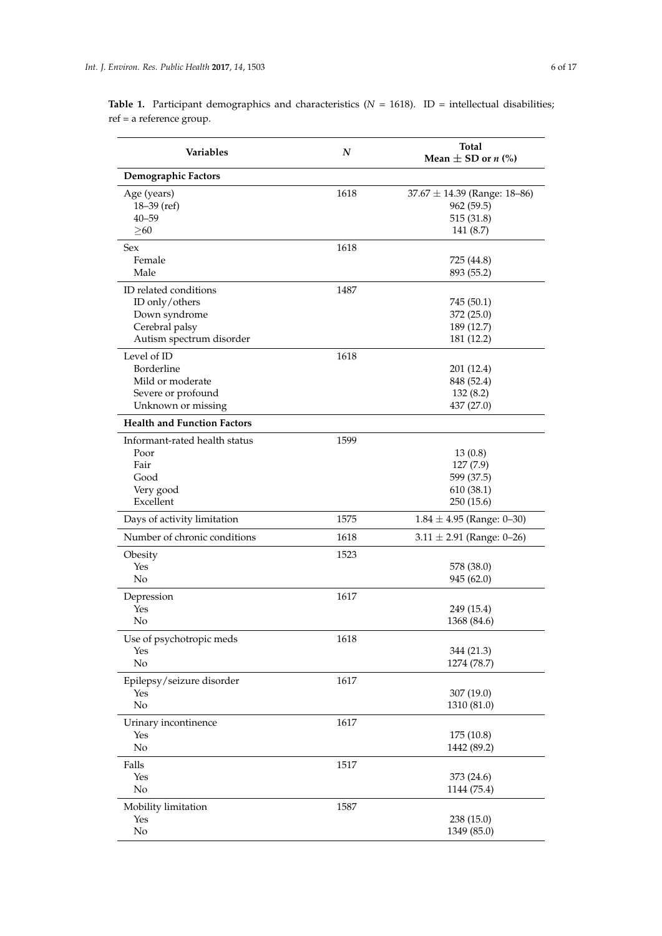| Variables                                                                                              | $\boldsymbol{N}$ | <b>Total</b><br>Mean $\pm$ SD or <i>n</i> (%)                            |
|--------------------------------------------------------------------------------------------------------|------------------|--------------------------------------------------------------------------|
| Demographic Factors                                                                                    |                  |                                                                          |
| Age (years)<br>$18 - 39$ (ref)<br>$40 - 59$<br>$\geq 60$                                               | 1618             | $37.67 \pm 14.39$ (Range: 18-86)<br>962 (59.5)<br>515(31.8)<br>141 (8.7) |
| Sex                                                                                                    | 1618             |                                                                          |
| Female<br>Male                                                                                         |                  | 725 (44.8)<br>893 (55.2)                                                 |
| ID related conditions<br>ID only/others<br>Down syndrome<br>Cerebral palsy<br>Autism spectrum disorder | 1487             | 745 (50.1)<br>372 (25.0)<br>189 (12.7)<br>181 (12.2)                     |
| Level of ID<br>Borderline<br>Mild or moderate<br>Severe or profound<br>Unknown or missing              | 1618             | 201 (12.4)<br>848 (52.4)<br>132(8.2)<br>437 (27.0)                       |
| <b>Health and Function Factors</b>                                                                     |                  |                                                                          |
| Informant-rated health status<br>Poor<br>Fair<br>Good<br>Very good<br>Excellent                        | 1599             | 13(0.8)<br>127(7.9)<br>599 (37.5)<br>610 (38.1)<br>250 (15.6)            |
| Days of activity limitation                                                                            | 1575             | $1.84 \pm 4.95$ (Range: 0-30)                                            |
| Number of chronic conditions                                                                           | 1618             | $3.11 \pm 2.91$ (Range: 0-26)                                            |
| Obesity<br>Yes<br>No                                                                                   | 1523             | 578 (38.0)<br>945 (62.0)                                                 |
| Depression<br>Yes<br>No                                                                                | 1617             | 249 (15.4)<br>1368 (84.6)                                                |
| Use of psychotropic meds<br>Yes<br>No                                                                  | 1618             | 344 (21.3)<br>1274 (78.7)                                                |
| Epilepsy/seizure disorder<br>Yes<br>No                                                                 | 1617             | 307 (19.0)<br>1310 (81.0)                                                |
| Urinary incontinence<br>Yes<br>No                                                                      | 1617             | 175 (10.8)<br>1442 (89.2)                                                |
| Falls<br>Yes<br>No                                                                                     | 1517             | 373 (24.6)<br>1144 (75.4)                                                |
| Mobility limitation<br>Yes<br>No                                                                       | 1587             | 238 (15.0)<br>1349 (85.0)                                                |

**Table 1.** Participant demographics and characteristics ( $N = 1618$ ). ID = intellectual disabilities; ref = a reference group.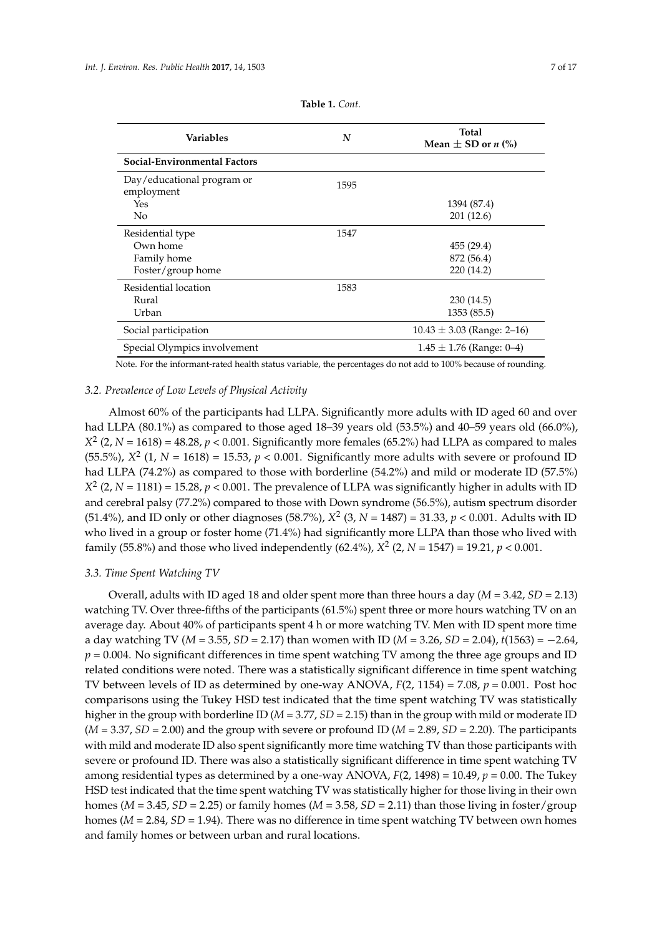<span id="page-6-0"></span>

| <b>Variables</b>                         | N    | <b>Total</b><br>Mean $\pm$ SD or <i>n</i> (%) |
|------------------------------------------|------|-----------------------------------------------|
| Social-Environmental Factors             |      |                                               |
| Day/educational program or<br>employment | 1595 |                                               |
| Yes                                      |      | 1394 (87.4)                                   |
| No                                       |      | 201(12.6)                                     |
| Residential type                         | 1547 |                                               |
| Own home                                 |      | 455 (29.4)                                    |
| Family home                              |      | 872 (56.4)                                    |
| Foster/group home                        |      | 220 (14.2)                                    |
| Residential location                     | 1583 |                                               |
| Rural                                    |      | 230(14.5)                                     |
| Urban                                    |      | 1353 (85.5)                                   |
| Social participation                     |      | $10.43 \pm 3.03$ (Range: 2–16)                |
| Special Olympics involvement             |      | $1.45 \pm 1.76$ (Range: 0-4)                  |

**Table 1.** *Cont.*

Note. For the informant-rated health status variable, the percentages do not add to 100% because of rounding.

#### *3.2. Prevalence of Low Levels of Physical Activity*

Almost 60% of the participants had LLPA. Significantly more adults with ID aged 60 and over had LLPA (80.1%) as compared to those aged 18–39 years old (53.5%) and 40–59 years old (66.0%),  $X^2$  (2, *N* = 1618) = 48.28, *p* < 0.001. Significantly more females (65.2%) had LLPA as compared to males (55.5%),  $X^2$  (1,  $N = 1618$ ) = 15.53,  $p < 0.001$ . Significantly more adults with severe or profound ID had LLPA (74.2%) as compared to those with borderline (54.2%) and mild or moderate ID (57.5%)  $X^2$  (2, *N* = 1181) = 15.28, *p* < 0.001. The prevalence of LLPA was significantly higher in adults with ID and cerebral palsy (77.2%) compared to those with Down syndrome (56.5%), autism spectrum disorder (51.4%), and ID only or other diagnoses (58.7%),  $X^2$  (3,  $N = 1487$ ) = 31.33,  $p < 0.001$ . Adults with ID who lived in a group or foster home (71.4%) had significantly more LLPA than those who lived with family (55.8%) and those who lived independently (62.4%),  $X^2$  (2,  $N = 1547$ ) = 19.21,  $p < 0.001$ .

## *3.3. Time Spent Watching TV*

Overall, adults with ID aged 18 and older spent more than three hours a day  $(M = 3.42, SD = 2.13)$ watching TV. Over three-fifths of the participants (61.5%) spent three or more hours watching TV on an average day. About 40% of participants spent 4 h or more watching TV. Men with ID spent more time a day watching TV (*M* = 3.55, *SD* = 2.17) than women with ID (*M* = 3.26, *SD* = 2.04), *t*(1563) = −2.64,  $p = 0.004$ . No significant differences in time spent watching TV among the three age groups and ID related conditions were noted. There was a statistically significant difference in time spent watching TV between levels of ID as determined by one-way ANOVA, *F*(2, 1154) = 7.08, *p* = 0.001. Post hoc comparisons using the Tukey HSD test indicated that the time spent watching TV was statistically higher in the group with borderline ID (*M* = 3.77, *SD* = 2.15) than in the group with mild or moderate ID  $(M = 3.37, SD = 2.00)$  and the group with severe or profound ID  $(M = 2.89, SD = 2.20)$ . The participants with mild and moderate ID also spent significantly more time watching TV than those participants with severe or profound ID. There was also a statistically significant difference in time spent watching TV among residential types as determined by a one-way ANOVA,  $F(2, 1498) = 10.49$ ,  $p = 0.00$ . The Tukey HSD test indicated that the time spent watching TV was statistically higher for those living in their own homes ( $M = 3.45$ ,  $SD = 2.25$ ) or family homes ( $M = 3.58$ ,  $SD = 2.11$ ) than those living in foster/group homes (*M* = 2.84, *SD* = 1.94). There was no difference in time spent watching TV between own homes and family homes or between urban and rural locations.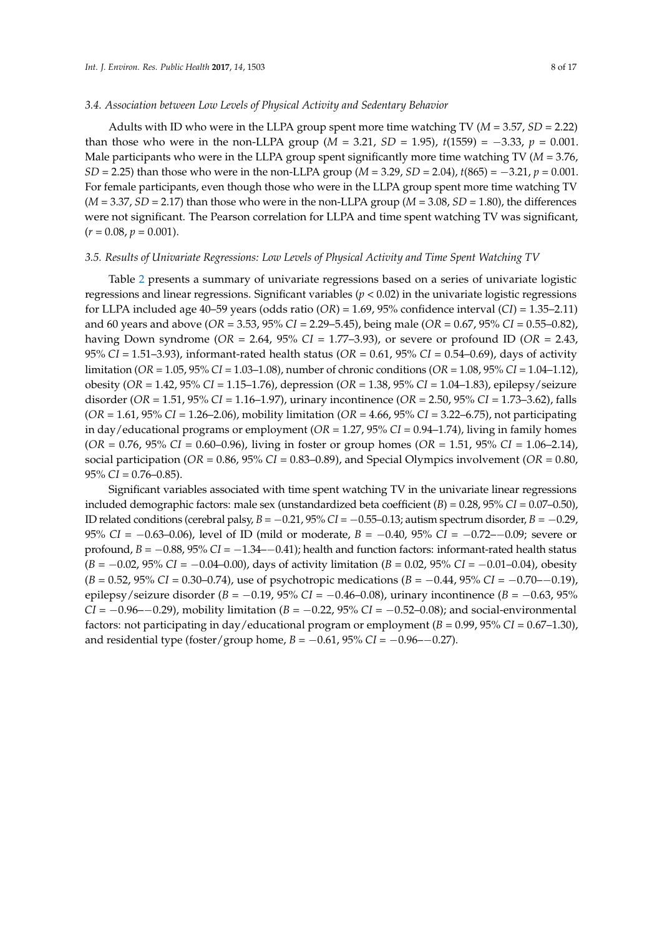#### *3.4. Association between Low Levels of Physical Activity and Sedentary Behavior*

Adults with ID who were in the LLPA group spent more time watching TV (*M* = 3.57, *SD* = 2.22) than those who were in the non-LLPA group ( $M = 3.21$ ,  $SD = 1.95$ ),  $t(1559) = -3.33$ ,  $p = 0.001$ . Male participants who were in the LLPA group spent significantly more time watching TV (*M* = 3.76, *SD* = 2.25) than those who were in the non-LLPA group (*M* = 3.29, *SD* = 2.04), *t*(865) = −3.21, *p* = 0.001. For female participants, even though those who were in the LLPA group spent more time watching TV  $(M = 3.37, SD = 2.17)$  than those who were in the non-LLPA group  $(M = 3.08, SD = 1.80)$ , the differences were not significant. The Pearson correlation for LLPA and time spent watching TV was significant,  $(r = 0.08, p = 0.001).$ 

#### *3.5. Results of Univariate Regressions: Low Levels of Physical Activity and Time Spent Watching TV*

Table [2](#page-8-0) presents a summary of univariate regressions based on a series of univariate logistic regressions and linear regressions. Significant variables ( $p < 0.02$ ) in the univariate logistic regressions for LLPA included age 40–59 years (odds ratio (*OR*) = 1.69, 95% confidence interval (*CI*) = 1.35–2.11) and 60 years and above (*OR* = 3.53, 95% *CI* = 2.29–5.45), being male (*OR* = 0.67, 95% *CI* = 0.55–0.82), having Down syndrome (*OR* = 2.64, 95% *CI* = 1.77–3.93), or severe or profound ID (*OR* = 2.43, 95% *CI* = 1.51–3.93), informant-rated health status (*OR* = 0.61, 95% *CI* = 0.54–0.69), days of activity limitation (*OR* = 1.05, 95% *CI* = 1.03–1.08), number of chronic conditions (*OR* = 1.08, 95% *CI* = 1.04–1.12), obesity (*OR* = 1.42, 95% *CI* = 1.15–1.76), depression (*OR* = 1.38, 95% *CI* = 1.04–1.83), epilepsy/seizure disorder (*OR* = 1.51, 95% *CI* = 1.16–1.97), urinary incontinence (*OR* = 2.50, 95% *CI* = 1.73–3.62), falls (*OR* = 1.61, 95% *CI* = 1.26–2.06), mobility limitation (*OR* = 4.66, 95% *CI* = 3.22–6.75), not participating in day/educational programs or employment (*OR* = 1.27, 95% *CI* = 0.94–1.74), living in family homes (*OR* = 0.76, 95% *CI* = 0.60–0.96), living in foster or group homes (*OR* = 1.51, 95% *CI* = 1.06–2.14), social participation (*OR* = 0.86, 95% *CI* = 0.83–0.89), and Special Olympics involvement (*OR* = 0.80, 95% *CI* = 0.76–0.85).

Significant variables associated with time spent watching TV in the univariate linear regressions included demographic factors: male sex (unstandardized beta coefficient  $(B) = 0.28$ ,  $95\%$  *CI* = 0.07–0.50), ID related conditions (cerebral palsy, *B* = −0.21, 95% *CI* = −0.55–0.13; autism spectrum disorder, *B* = −0.29, 95% *CI* = −0.63–0.06), level of ID (mild or moderate, *B* = −0.40, 95% *CI* = −0.72–−0.09; severe or profound, *B* = −0.88, 95% *CI* = −1.34–−0.41); health and function factors: informant-rated health status (*B* = −0.02, 95% *CI* = −0.04–0.00), days of activity limitation (*B* = 0.02, 95% *CI* = −0.01–0.04), obesity (*B* = 0.52, 95% *CI* = 0.30–0.74), use of psychotropic medications (*B* = −0.44, 95% *CI* = −0.70–−0.19), epilepsy/seizure disorder (*B* = −0.19, 95% *CI* = −0.46–0.08), urinary incontinence (*B* = −0.63, 95% *CI* = −0.96−−0.29), mobility limitation (*B* = −0.22, 95% *CI* = −0.52–0.08); and social-environmental factors: not participating in day/educational program or employment (*B* = 0.99, 95% *CI* = 0.67–1.30), and residential type (foster/group home,  $B = -0.61$ ,  $95\%$  *CI* =  $-0.96 - 0.27$ ).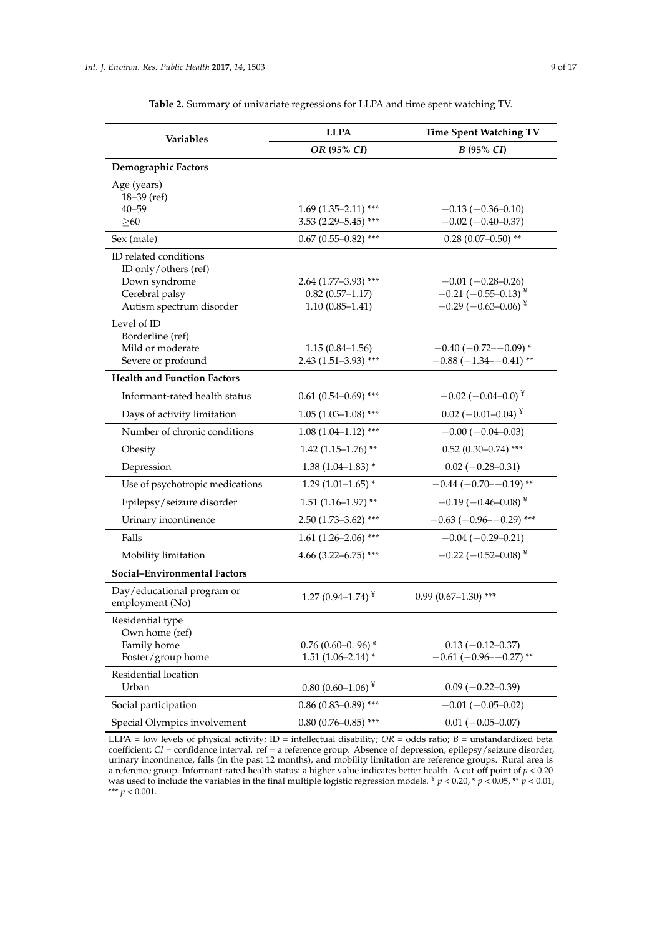<span id="page-8-0"></span>

| <b>Variables</b>                                               | <b>LLPA</b>             | <b>Time Spent Watching TV</b>     |
|----------------------------------------------------------------|-------------------------|-----------------------------------|
|                                                                | OR (95% CI)             | B (95% CI)                        |
| <b>Demographic Factors</b>                                     |                         |                                   |
| Age (years)<br>$18 - 39$ (ref)                                 |                         |                                   |
| $40 - 59$                                                      | $1.69$ (1.35–2.11) ***  | $-0.13(-0.36-0.10)$               |
| $\geq 60$                                                      | $3.53$ (2.29-5.45) ***  | $-0.02$ ( $-0.40$ $-0.37$ )       |
| Sex (male)                                                     | $0.67$ (0.55-0.82) ***  | $0.28$ (0.07-0.50) **             |
| ID related conditions<br>ID only/others (ref)<br>Down syndrome | $2.64$ (1.77-3.93) ***  | $-0.01 (-0.28 - 0.26)$            |
| Cerebral palsy                                                 | $0.82(0.57 - 1.17)$     | $-0.21$ (-0.55-0.13) <sup>¥</sup> |
| Autism spectrum disorder                                       | $1.10(0.85 - 1.41)$     | $-0.29(-0.63-0.06)^{*}$           |
| Level of ID<br>Borderline (ref)<br>Mild or moderate            | $1.15(0.84-1.56)$       | $-0.40$ ( $-0.72$ - $-0.09$ ) *   |
| Severe or profound                                             | $2.43(1.51-3.93)$ ***   | $-0.88$ ( $-1.34$ $-0.41$ ) **    |
| <b>Health and Function Factors</b>                             |                         |                                   |
| Informant-rated health status                                  | $0.61(0.54 - 0.69)$ *** | $-0.02$ (-0.04-0.0) <sup>¥</sup>  |
| Days of activity limitation                                    | $1.05(1.03-1.08)$ ***   | $0.02$ (-0.01-0.04) <sup>¥</sup>  |
| Number of chronic conditions                                   | $1.08(1.04 - 1.12)$ *** | $-0.00(-0.04-0.03)$               |
| Obesity                                                        | $1.42$ (1.15-1.76)**    | $0.52$ (0.30-0.74) ***            |
| Depression                                                     | $1.38(1.04-1.83)$ *     | $0.02 (-0.28 - 0.31)$             |
| Use of psychotropic medications                                | $1.29(1.01-1.65)$ *     | $-0.44$ ( $-0.70$ - $-0.19$ ) **  |
| Epilepsy/seizure disorder                                      | $1.51(1.16-1.97)$ **    | $-0.19(-0.46-0.08)^{*}$           |
| Urinary incontinence                                           | $2.50(1.73 - 3.62)$ *** | $-0.63$ ( $-0.96 - -0.29$ ) ***   |
| Falls                                                          | $1.61(1.26 - 2.06)$ *** | $-0.04(-0.29-0.21)$               |
| Mobility limitation                                            | 4.66 (3.22-6.75) ***    | $-0.22$ (-0.52-0.08) <sup>¥</sup> |
| Social-Environmental Factors                                   |                         |                                   |
| Day/educational program or<br>employment (No)                  | 1.27 (0.94–1.74) $*$    | $0.99(0.67-1.30)$ ***             |
| Residential type<br>Own home (ref)                             |                         |                                   |
| Family home                                                    | $0.76$ (0.60-0.96)*     | $0.13(-0.12-0.37)$                |
| Foster/group home                                              | $1.51(1.06 - 2.14)$ *   | $-0.61$ ( $-0.96 - -0.27$ ) **    |
| Residential location<br>Urban                                  | $0.80(0.60-1.06)^{*}$   | $0.09(-0.22-0.39)$                |
| Social participation                                           | $0.86$ (0.83-0.89) ***  | $-0.01(-0.05-0.02)$               |
| Special Olympics involvement                                   | $0.80$ (0.76-0.85) ***  | $0.01 (-0.05 - 0.07)$             |

**Table 2.** Summary of univariate regressions for LLPA and time spent watching TV.

LLPA = low levels of physical activity;  $ID =$  intellectual disability;  $OR =$  odds ratio;  $B =$  unstandardized beta coefficient; *CI* = confidence interval. ref = a reference group. Absence of depression, epilepsy/seizure disorder, urinary incontinence, falls (in the past 12 months), and mobility limitation are reference groups. Rural area is a reference group. Informant-rated health status: a higher value indicates better health. A cut-off point of *p* < 0.20 was used to include the variables in the final multiple logistic regression models.  $\frac{y}{T}$  *p* < 0.20,  $\frac{y}{T}$  *p* < 0.05,  $\frac{xy}{T}$  *p* < 0.01, \*\*\* *p* < 0.001.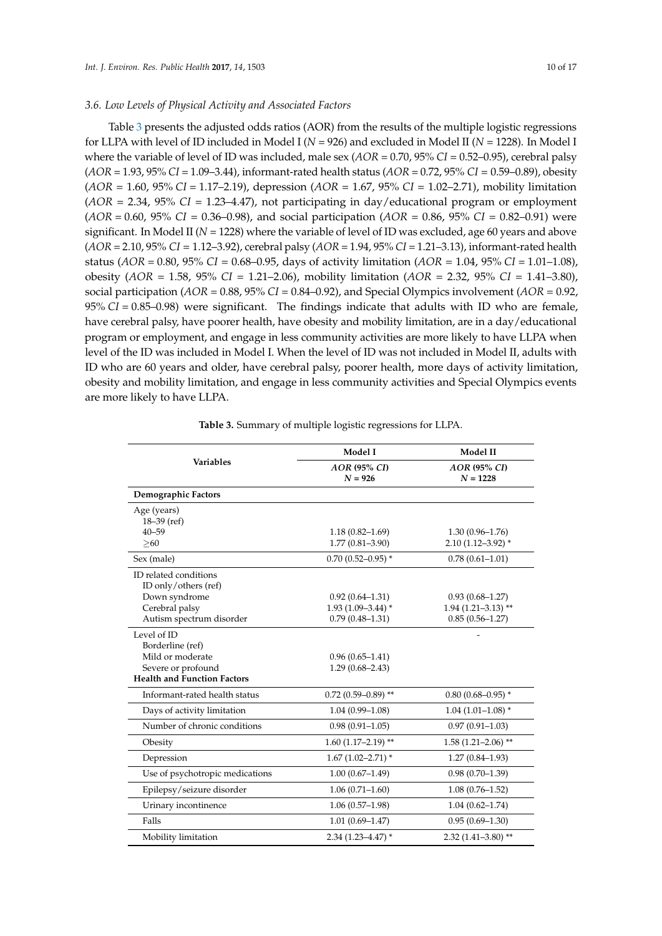### *3.6. Low Levels of Physical Activity and Associated Factors*

Table [3](#page-10-0) presents the adjusted odds ratios (AOR) from the results of the multiple logistic regressions for LLPA with level of ID included in Model I (*N* = 926) and excluded in Model II (*N* = 1228). In Model I where the variable of level of ID was included, male sex (*AOR* = 0.70, 95% *CI* = 0.52–0.95), cerebral palsy (*AOR* = 1.93, 95% *CI* = 1.09–3.44), informant-rated health status (*AOR* = 0.72, 95% *CI* = 0.59–0.89), obesity (*AOR* = 1.60, 95% *CI* = 1.17–2.19), depression (*AOR* = 1.67, 95% *CI* = 1.02–2.71), mobility limitation (*AOR* = 2.34, 95% *CI* = 1.23–4.47), not participating in day/educational program or employment (*AOR* = 0.60, 95% *CI* = 0.36–0.98), and social participation (*AOR* = 0.86, 95% *CI* = 0.82–0.91) were significant. In Model II (*N* = 1228) where the variable of level of ID was excluded, age 60 years and above (*AOR* = 2.10, 95% *CI* = 1.12–3.92), cerebral palsy (*AOR* = 1.94, 95% *CI* = 1.21–3.13), informant-rated health status (*AOR* = 0.80, 95% *CI* = 0.68–0.95, days of activity limitation (*AOR* = 1.04, 95% *CI* = 1.01–1.08), obesity (*AOR* = 1.58, 95% *CI* = 1.21–2.06), mobility limitation (*AOR* = 2.32, 95% *CI* = 1.41–3.80), social participation (*AOR* = 0.88, 95% *CI* = 0.84–0.92), and Special Olympics involvement (*AOR* = 0.92, 95% *CI* = 0.85–0.98) were significant. The findings indicate that adults with ID who are female, have cerebral palsy, have poorer health, have obesity and mobility limitation, are in a day/educational program or employment, and engage in less community activities are more likely to have LLPA when level of the ID was included in Model I. When the level of ID was not included in Model II, adults with ID who are 60 years and older, have cerebral palsy, poorer health, more days of activity limitation, obesity and mobility limitation, and engage in less community activities and Special Olympics events are more likely to have LLPA.

|                                    | Model I               | Model II                         |  |
|------------------------------------|-----------------------|----------------------------------|--|
| <b>Variables</b>                   | AOR (95% CI)          | AOR (95% CI)                     |  |
|                                    | $N = 926$             | $N = 1228$                       |  |
| Demographic Factors                |                       |                                  |  |
| Age (years)                        |                       |                                  |  |
| 18-39 (ref)                        |                       |                                  |  |
| $40 - 59$                          | $1.18(0.82 - 1.69)$   | $1.30(0.96 - 1.76)$              |  |
| > 60                               | $1.77(0.81 - 3.90)$   | $2.10(1.12 - 3.92)$ *            |  |
| Sex (male)                         | $0.70(0.52 - 0.95)$ * | $0.78(0.61 - 1.01)$              |  |
| ID related conditions              |                       |                                  |  |
| ID only/others (ref)               |                       |                                  |  |
| Down syndrome                      | $0.92(0.64 - 1.31)$   | $0.93(0.68 - 1.27)$              |  |
| Cerebral palsy                     | $1.93(1.09 - 3.44)$ * | $1.94$ (1.21-3.13) <sup>**</sup> |  |
| Autism spectrum disorder           | $0.79(0.48 - 1.31)$   | $0.85(0.56 - 1.27)$              |  |
| Level of ID                        |                       |                                  |  |
| Borderline (ref)                   |                       |                                  |  |
| Mild or moderate                   | $0.96(0.65 - 1.41)$   |                                  |  |
| Severe or profound                 | $1.29(0.68 - 2.43)$   |                                  |  |
| <b>Health and Function Factors</b> |                       |                                  |  |
| Informant-rated health status      | $0.72$ (0.59-0.89)**  | $0.80(0.68 - 0.95)$ *            |  |
| Days of activity limitation        | $1.04(0.99 - 1.08)$   | $1.04(1.01-1.08)$ *              |  |
| Number of chronic conditions       | $0.98(0.91 - 1.05)$   | $0.97(0.91 - 1.03)$              |  |
| Obesity                            | $1.60$ (1.17-2.19)**  | $1.58(1.21 - 2.06)$ **           |  |
| Depression                         | $1.67(1.02 - 2.71)$ * | $1.27(0.84 - 1.93)$              |  |
| Use of psychotropic medications    | $1.00(0.67-1.49)$     | $0.98(0.70-1.39)$                |  |
| Epilepsy/seizure disorder          | $1.06(0.71 - 1.60)$   | $1.08(0.76 - 1.52)$              |  |
| Urinary incontinence               | $1.06(0.57-1.98)$     | $1.04(0.62 - 1.74)$              |  |
| Falls                              | $1.01(0.69 - 1.47)$   | $0.95(0.69 - 1.30)$              |  |
| Mobility limitation                | $2.34(1.23 - 4.47)$ * | $2.32(1.41 - 3.80)$ **           |  |

**Table 3.** Summary of multiple logistic regressions for LLPA.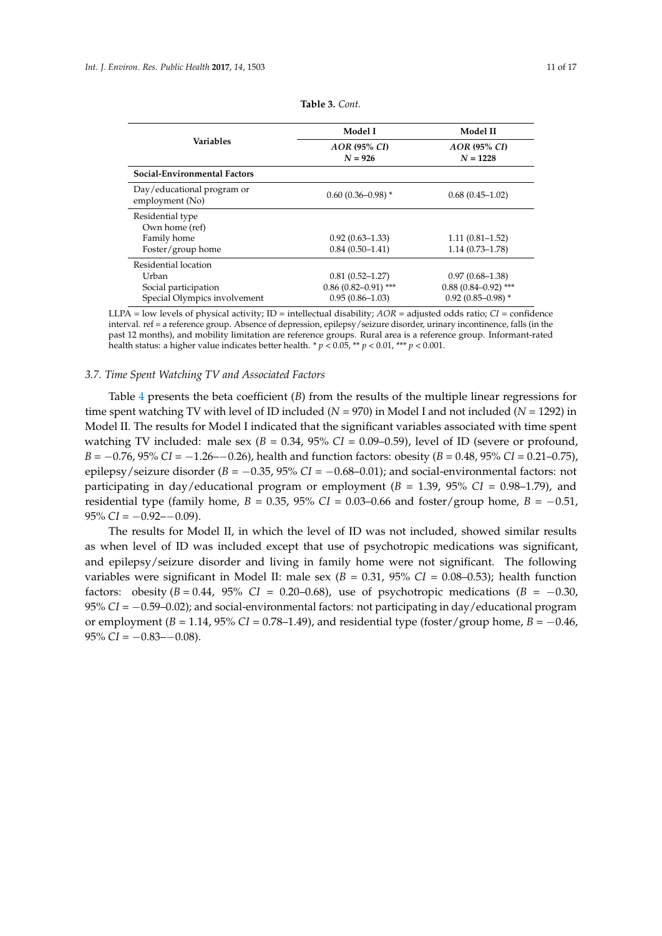<span id="page-10-0"></span>

|                                               | Model I                        | Model II                        |  |
|-----------------------------------------------|--------------------------------|---------------------------------|--|
| <b>Variables</b>                              | $AOR$ (95% $CD$ )<br>$N = 926$ | $AOR$ (95% $CI$ )<br>$N = 1228$ |  |
| Social-Environmental Factors                  |                                |                                 |  |
| Day/educational program or<br>employment (No) | $0.60(0.36 - 0.98)$ *          | $0.68(0.45-1.02)$               |  |
| Residential type<br>Own home (ref)            |                                |                                 |  |
| Family home                                   | $0.92(0.63 - 1.33)$            | $1.11(0.81 - 1.52)$             |  |
| Foster/group home                             | $0.84(0.50-1.41)$              | $1.14(0.73 - 1.78)$             |  |
| Residential location                          |                                |                                 |  |
| Urban                                         | $0.81(0.52 - 1.27)$            | $0.97(0.68 - 1.38)$             |  |
| Social participation                          | $0.86$ (0.82-0.91) ***         | $0.88$ (0.84–0.92) ***          |  |
| Special Olympics involvement                  | $0.95(0.86 - 1.03)$            | $0.92(0.85 - 0.98)$ *           |  |
|                                               |                                |                                 |  |

**Table 3.** *Cont.*

LLPA = low levels of physical activity; ID = intellectual disability; *AOR* = adjusted odds ratio; *CI* = confidence interval. ref = a reference group. Absence of depression, epilepsy/seizure disorder, urinary incontinence, falls (in the past 12 months), and mobility limitation are reference groups. Rural area is a reference group. Informant-rated health status: a higher value indicates better health.  $p < 0.05$ ,  $\rightarrow$   $p < 0.01$ ,  $\rightarrow$   $p < 0.001$ .

## *3.7. Time Spent Watching TV and Associated Factors*

Table [4](#page-11-0) presents the beta coefficient (*B*) from the results of the multiple linear regressions for time spent watching TV with level of ID included (*N* = 970) in Model I and not included (*N* = 1292) in Model II. The results for Model I indicated that the significant variables associated with time spent watching TV included: male sex  $(B = 0.34, 95\% \text{ CI} = 0.09{\text -}0.59)$ , level of ID (severe or profound, *B* = −0.76, 95% *CI* = −1.26−−0.26), health and function factors: obesity (*B* = 0.48, 95% *CI* = 0.21−0.75), epilepsy/seizure disorder (*B* = −0.35, 95% *CI* = −0.68–0.01); and social-environmental factors: not participating in day/educational program or employment  $(B = 1.39, 95\% \text{ CI} = 0.98$ –1.79), and residential type (family home,  $B = 0.35$ , 95% *CI* = 0.03–0.66 and foster/group home,  $B = -0.51$ ,  $95\% CI = -0.92 - 0.09$ .

The results for Model II, in which the level of ID was not included, showed similar results as when level of ID was included except that use of psychotropic medications was significant, and epilepsy/seizure disorder and living in family home were not significant. The following variables were significant in Model II: male sex  $(B = 0.31, 95\% \text{ CI} = 0.08-0.53)$ ; health function factors: obesity  $(B = 0.44, 95\% \text{ CI} = 0.20-0.68)$ , use of psychotropic medications  $(B = -0.30,$ 95% *CI* = −0.59–0.02); and social-environmental factors: not participating in day/educational program or employment  $(B = 1.14, 95\% \text{ CI} = 0.78-1.49)$ , and residential type (foster/group home,  $B = -0.46$ ,  $95\%$  *CI* =  $-0.83 - -0.08$ ).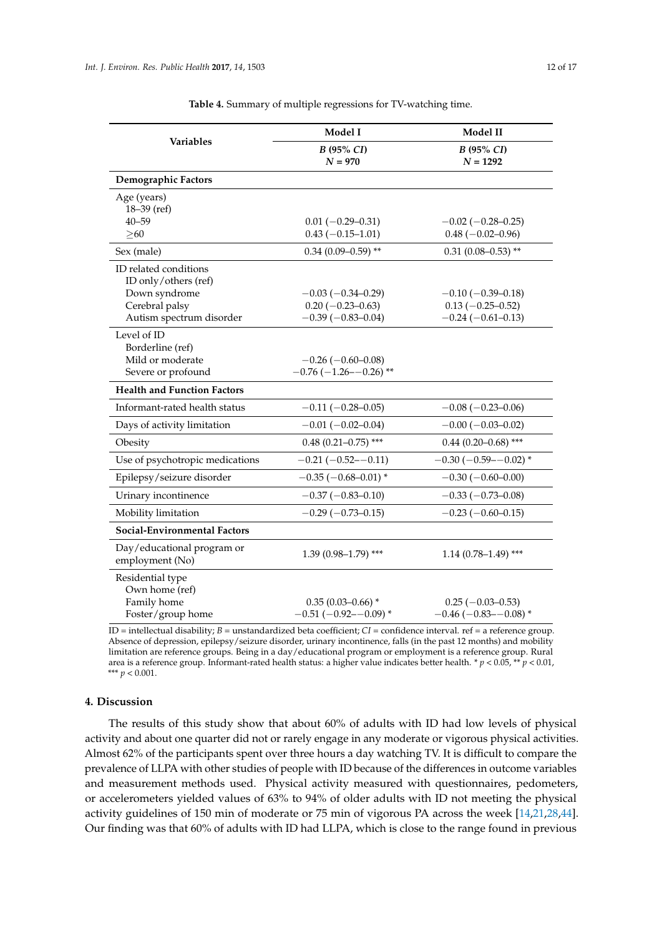<span id="page-11-0"></span>

| <b>Variables</b>                              | Model I                                      | Model II                                     |
|-----------------------------------------------|----------------------------------------------|----------------------------------------------|
|                                               | B (95% CI)                                   | B (95% CI)                                   |
|                                               | $N = 970$                                    | $N = 1292$                                   |
| Demographic Factors                           |                                              |                                              |
| Age (years)                                   |                                              |                                              |
| $18 - 39$ (ref)                               |                                              |                                              |
| $40 - 59$                                     | $0.01 (-0.29 - 0.31)$                        | $-0.02$ ( $-0.28 - 0.25$ )                   |
| $\geq 60$                                     | $0.43(-0.15-1.01)$                           | $0.48 (-0.02 - 0.96)$                        |
| Sex (male)                                    | $0.34(0.09 - 0.59)$ **                       | $0.31$ (0.08-0.53) **                        |
| ID related conditions                         |                                              |                                              |
| ID only/others (ref)                          |                                              |                                              |
| Down syndrome                                 | $-0.03(-0.34-0.29)$                          | $-0.10(-0.39-0.18)$                          |
| Cerebral palsy<br>Autism spectrum disorder    | $0.20 (-0.23 - 0.63)$<br>$-0.39(-0.83-0.04)$ | $0.13 (-0.25 - 0.52)$<br>$-0.24(-0.61-0.13)$ |
|                                               |                                              |                                              |
| Level of ID<br>Borderline (ref)               |                                              |                                              |
| Mild or moderate                              | $-0.26(-0.60-0.08)$                          |                                              |
| Severe or profound                            | $-0.76(-1.26 - 0.26)$ **                     |                                              |
| <b>Health and Function Factors</b>            |                                              |                                              |
| Informant-rated health status                 | $-0.11(-0.28-0.05)$                          | $-0.08$ ( $-0.23-0.06$ )                     |
| Days of activity limitation                   | $-0.01(-0.02-0.04)$                          | $-0.00$ ( $-0.03-0.02$ )                     |
| Obesity                                       | $0.48$ (0.21-0.75) ***                       | $0.44$ (0.20-0.68) ***                       |
| Use of psychotropic medications               | $-0.21(-0.52 - 0.11)$                        | $-0.30$ ( $-0.59$ - $-0.02$ ) *              |
| Epilepsy/seizure disorder                     | $-0.35$ ( $-0.68 - 0.01$ )*                  | $-0.30(-0.60-0.00)$                          |
| Urinary incontinence                          | $-0.37(-0.83-0.10)$                          | $-0.33(-0.73-0.08)$                          |
| Mobility limitation                           | $-0.29(-0.73-0.15)$                          | $-0.23$ ( $-0.60$ $-0.15$ )                  |
| <b>Social-Environmental Factors</b>           |                                              |                                              |
| Day/educational program or<br>employment (No) | $1.39(0.98 - 1.79)$ ***                      | $1.14(0.78 - 1.49)$ ***                      |
| Residential type                              |                                              |                                              |
| Own home (ref)                                |                                              |                                              |
| Family home                                   | $0.35(0.03-0.66)$ *                          | $0.25(-0.03-0.53)$                           |
| Foster/group home                             | $-0.51(-0.92 - 0.09)$ *                      | $-0.46$ ( $-0.83$ - $-0.08$ ) *              |

**Table 4.** Summary of multiple regressions for TV-watching time.

ID = intellectual disability; *B* = unstandardized beta coefficient; *CI* = confidence interval. ref = a reference group. Absence of depression, epilepsy/seizure disorder, urinary incontinence, falls (in the past 12 months) and mobility limitation are reference groups. Being in a day/educational program or employment is a reference group. Rural area is a reference group. Informant-rated health status: a higher value indicates better health. \* *p* < 0.05, \*\* *p* < 0.01, \*\*\* *p* < 0.001.

## **4. Discussion**

The results of this study show that about 60% of adults with ID had low levels of physical activity and about one quarter did not or rarely engage in any moderate or vigorous physical activities. Almost 62% of the participants spent over three hours a day watching TV. It is difficult to compare the prevalence of LLPA with other studies of people with ID because of the differences in outcome variables and measurement methods used. Physical activity measured with questionnaires, pedometers, or accelerometers yielded values of 63% to 94% of older adults with ID not meeting the physical activity guidelines of 150 min of moderate or 75 min of vigorous PA across the week [\[14,](#page-15-4)[21,](#page-15-17)[28,](#page-15-18)[44\]](#page-16-12). Our finding was that 60% of adults with ID had LLPA, which is close to the range found in previous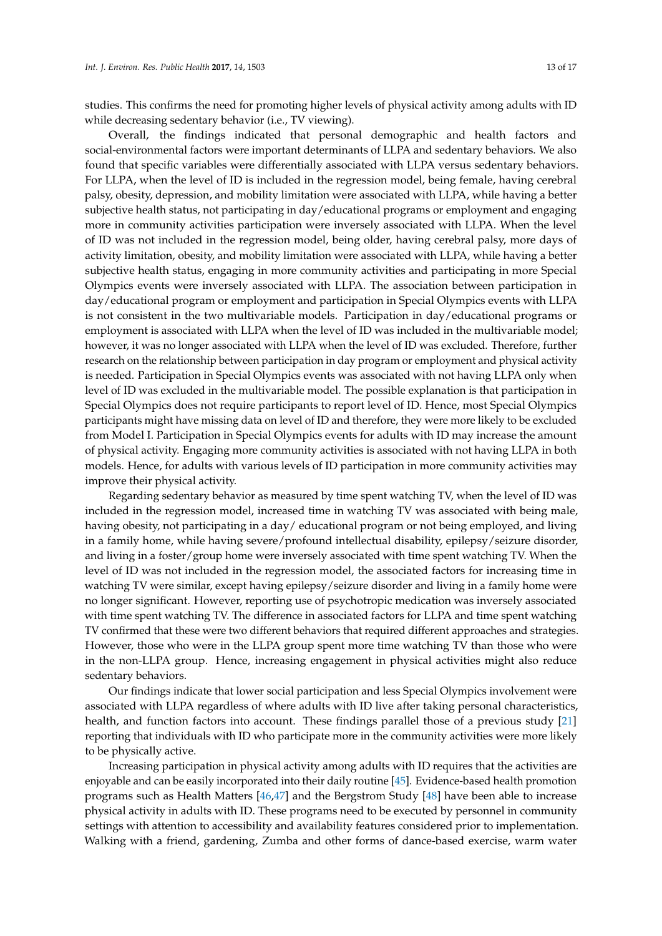studies. This confirms the need for promoting higher levels of physical activity among adults with ID while decreasing sedentary behavior (i.e., TV viewing).

Overall, the findings indicated that personal demographic and health factors and social-environmental factors were important determinants of LLPA and sedentary behaviors. We also found that specific variables were differentially associated with LLPA versus sedentary behaviors. For LLPA, when the level of ID is included in the regression model, being female, having cerebral palsy, obesity, depression, and mobility limitation were associated with LLPA, while having a better subjective health status, not participating in day/educational programs or employment and engaging more in community activities participation were inversely associated with LLPA. When the level of ID was not included in the regression model, being older, having cerebral palsy, more days of activity limitation, obesity, and mobility limitation were associated with LLPA, while having a better subjective health status, engaging in more community activities and participating in more Special Olympics events were inversely associated with LLPA. The association between participation in day/educational program or employment and participation in Special Olympics events with LLPA is not consistent in the two multivariable models. Participation in day/educational programs or employment is associated with LLPA when the level of ID was included in the multivariable model; however, it was no longer associated with LLPA when the level of ID was excluded. Therefore, further research on the relationship between participation in day program or employment and physical activity is needed. Participation in Special Olympics events was associated with not having LLPA only when level of ID was excluded in the multivariable model. The possible explanation is that participation in Special Olympics does not require participants to report level of ID. Hence, most Special Olympics participants might have missing data on level of ID and therefore, they were more likely to be excluded from Model I. Participation in Special Olympics events for adults with ID may increase the amount of physical activity. Engaging more community activities is associated with not having LLPA in both models. Hence, for adults with various levels of ID participation in more community activities may improve their physical activity.

Regarding sedentary behavior as measured by time spent watching TV, when the level of ID was included in the regression model, increased time in watching TV was associated with being male, having obesity, not participating in a day/ educational program or not being employed, and living in a family home, while having severe/profound intellectual disability, epilepsy/seizure disorder, and living in a foster/group home were inversely associated with time spent watching TV. When the level of ID was not included in the regression model, the associated factors for increasing time in watching TV were similar, except having epilepsy/seizure disorder and living in a family home were no longer significant. However, reporting use of psychotropic medication was inversely associated with time spent watching TV. The difference in associated factors for LLPA and time spent watching TV confirmed that these were two different behaviors that required different approaches and strategies. However, those who were in the LLPA group spent more time watching TV than those who were in the non-LLPA group. Hence, increasing engagement in physical activities might also reduce sedentary behaviors.

Our findings indicate that lower social participation and less Special Olympics involvement were associated with LLPA regardless of where adults with ID live after taking personal characteristics, health, and function factors into account. These findings parallel those of a previous study [\[21\]](#page-15-17) reporting that individuals with ID who participate more in the community activities were more likely to be physically active.

Increasing participation in physical activity among adults with ID requires that the activities are enjoyable and can be easily incorporated into their daily routine [\[45\]](#page-16-13). Evidence-based health promotion programs such as Health Matters [\[46,](#page-16-14)[47\]](#page-16-15) and the Bergstrom Study [\[48\]](#page-16-16) have been able to increase physical activity in adults with ID. These programs need to be executed by personnel in community settings with attention to accessibility and availability features considered prior to implementation. Walking with a friend, gardening, Zumba and other forms of dance-based exercise, warm water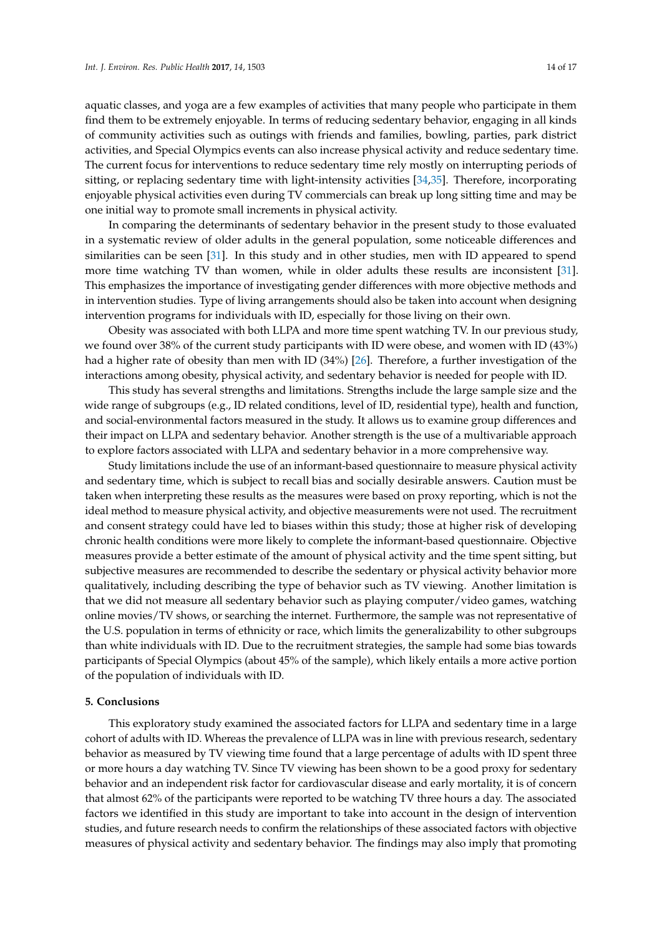aquatic classes, and yoga are a few examples of activities that many people who participate in them find them to be extremely enjoyable. In terms of reducing sedentary behavior, engaging in all kinds of community activities such as outings with friends and families, bowling, parties, park district activities, and Special Olympics events can also increase physical activity and reduce sedentary time. The current focus for interventions to reduce sedentary time rely mostly on interrupting periods of sitting, or replacing sedentary time with light-intensity activities [\[34,](#page-16-2)[35\]](#page-16-3). Therefore, incorporating enjoyable physical activities even during TV commercials can break up long sitting time and may be one initial way to promote small increments in physical activity.

In comparing the determinants of sedentary behavior in the present study to those evaluated in a systematic review of older adults in the general population, some noticeable differences and similarities can be seen [\[31\]](#page-15-16). In this study and in other studies, men with ID appeared to spend more time watching TV than women, while in older adults these results are inconsistent [\[31\]](#page-15-16). This emphasizes the importance of investigating gender differences with more objective methods and in intervention studies. Type of living arrangements should also be taken into account when designing intervention programs for individuals with ID, especially for those living on their own.

Obesity was associated with both LLPA and more time spent watching TV. In our previous study, we found over 38% of the current study participants with ID were obese, and women with ID (43%) had a higher rate of obesity than men with ID (34%) [\[26\]](#page-15-12). Therefore, a further investigation of the interactions among obesity, physical activity, and sedentary behavior is needed for people with ID.

This study has several strengths and limitations. Strengths include the large sample size and the wide range of subgroups (e.g., ID related conditions, level of ID, residential type), health and function, and social-environmental factors measured in the study. It allows us to examine group differences and their impact on LLPA and sedentary behavior. Another strength is the use of a multivariable approach to explore factors associated with LLPA and sedentary behavior in a more comprehensive way.

Study limitations include the use of an informant-based questionnaire to measure physical activity and sedentary time, which is subject to recall bias and socially desirable answers. Caution must be taken when interpreting these results as the measures were based on proxy reporting, which is not the ideal method to measure physical activity, and objective measurements were not used. The recruitment and consent strategy could have led to biases within this study; those at higher risk of developing chronic health conditions were more likely to complete the informant-based questionnaire. Objective measures provide a better estimate of the amount of physical activity and the time spent sitting, but subjective measures are recommended to describe the sedentary or physical activity behavior more qualitatively, including describing the type of behavior such as TV viewing. Another limitation is that we did not measure all sedentary behavior such as playing computer/video games, watching online movies/TV shows, or searching the internet. Furthermore, the sample was not representative of the U.S. population in terms of ethnicity or race, which limits the generalizability to other subgroups than white individuals with ID. Due to the recruitment strategies, the sample had some bias towards participants of Special Olympics (about 45% of the sample), which likely entails a more active portion of the population of individuals with ID.

## **5. Conclusions**

This exploratory study examined the associated factors for LLPA and sedentary time in a large cohort of adults with ID. Whereas the prevalence of LLPA was in line with previous research, sedentary behavior as measured by TV viewing time found that a large percentage of adults with ID spent three or more hours a day watching TV. Since TV viewing has been shown to be a good proxy for sedentary behavior and an independent risk factor for cardiovascular disease and early mortality, it is of concern that almost 62% of the participants were reported to be watching TV three hours a day. The associated factors we identified in this study are important to take into account in the design of intervention studies, and future research needs to confirm the relationships of these associated factors with objective measures of physical activity and sedentary behavior. The findings may also imply that promoting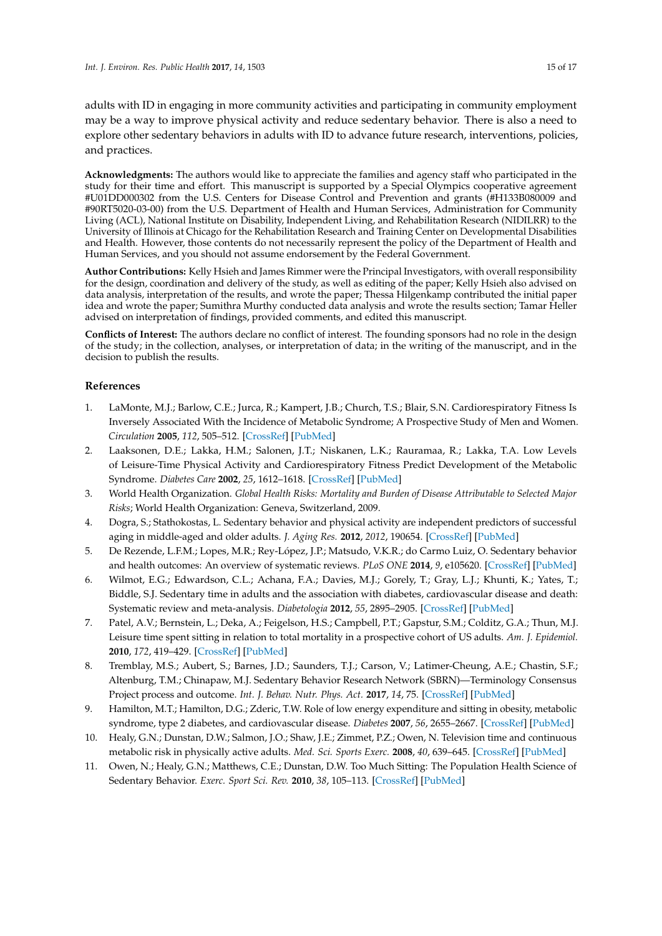adults with ID in engaging in more community activities and participating in community employment may be a way to improve physical activity and reduce sedentary behavior. There is also a need to explore other sedentary behaviors in adults with ID to advance future research, interventions, policies, and practices.

**Acknowledgments:** The authors would like to appreciate the families and agency staff who participated in the study for their time and effort. This manuscript is supported by a Special Olympics cooperative agreement #U01DD000302 from the U.S. Centers for Disease Control and Prevention and grants (#H133B080009 and #90RT5020-03-00) from the U.S. Department of Health and Human Services, Administration for Community Living (ACL), National Institute on Disability, Independent Living, and Rehabilitation Research (NIDILRR) to the University of Illinois at Chicago for the Rehabilitation Research and Training Center on Developmental Disabilities and Health. However, those contents do not necessarily represent the policy of the Department of Health and Human Services, and you should not assume endorsement by the Federal Government.

**Author Contributions:** Kelly Hsieh and James Rimmer were the Principal Investigators, with overall responsibility for the design, coordination and delivery of the study, as well as editing of the paper; Kelly Hsieh also advised on data analysis, interpretation of the results, and wrote the paper; Thessa Hilgenkamp contributed the initial paper idea and wrote the paper; Sumithra Murthy conducted data analysis and wrote the results section; Tamar Heller advised on interpretation of findings, provided comments, and edited this manuscript.

**Conflicts of Interest:** The authors declare no conflict of interest. The founding sponsors had no role in the design of the study; in the collection, analyses, or interpretation of data; in the writing of the manuscript, and in the decision to publish the results.

# **References**

- <span id="page-14-0"></span>1. LaMonte, M.J.; Barlow, C.E.; Jurca, R.; Kampert, J.B.; Church, T.S.; Blair, S.N. Cardiorespiratory Fitness Is Inversely Associated With the Incidence of Metabolic Syndrome; A Prospective Study of Men and Women. *Circulation* **2005**, *112*, 505–512. [\[CrossRef\]](http://dx.doi.org/10.1161/CIRCULATIONAHA.104.503805) [\[PubMed\]](http://www.ncbi.nlm.nih.gov/pubmed/16009797)
- <span id="page-14-1"></span>2. Laaksonen, D.E.; Lakka, H.M.; Salonen, J.T.; Niskanen, L.K.; Rauramaa, R.; Lakka, T.A. Low Levels of Leisure-Time Physical Activity and Cardiorespiratory Fitness Predict Development of the Metabolic Syndrome. *Diabetes Care* **2002**, *25*, 1612–1618. [\[CrossRef\]](http://dx.doi.org/10.2337/diacare.25.9.1612) [\[PubMed\]](http://www.ncbi.nlm.nih.gov/pubmed/12196436)
- <span id="page-14-2"></span>3. World Health Organization. *Global Health Risks: Mortality and Burden of Disease Attributable to Selected Major Risks*; World Health Organization: Geneva, Switzerland, 2009.
- <span id="page-14-3"></span>4. Dogra, S.; Stathokostas, L. Sedentary behavior and physical activity are independent predictors of successful aging in middle-aged and older adults. *J. Aging Res.* **2012**, *2012*, 190654. [\[CrossRef\]](http://dx.doi.org/10.1155/2012/190654) [\[PubMed\]](http://www.ncbi.nlm.nih.gov/pubmed/22997579)
- 5. De Rezende, L.F.M.; Lopes, M.R.; Rey-López, J.P.; Matsudo, V.K.R.; do Carmo Luiz, O. Sedentary behavior and health outcomes: An overview of systematic reviews. *PLoS ONE* **2014**, *9*, e105620. [\[CrossRef\]](http://dx.doi.org/10.1371/journal.pone.0105620) [\[PubMed\]](http://www.ncbi.nlm.nih.gov/pubmed/25144686)
- 6. Wilmot, E.G.; Edwardson, C.L.; Achana, F.A.; Davies, M.J.; Gorely, T.; Gray, L.J.; Khunti, K.; Yates, T.; Biddle, S.J. Sedentary time in adults and the association with diabetes, cardiovascular disease and death: Systematic review and meta-analysis. *Diabetologia* **2012**, *55*, 2895–2905. [\[CrossRef\]](http://dx.doi.org/10.1007/s00125-012-2677-z) [\[PubMed\]](http://www.ncbi.nlm.nih.gov/pubmed/22890825)
- <span id="page-14-4"></span>7. Patel, A.V.; Bernstein, L.; Deka, A.; Feigelson, H.S.; Campbell, P.T.; Gapstur, S.M.; Colditz, G.A.; Thun, M.J. Leisure time spent sitting in relation to total mortality in a prospective cohort of US adults. *Am. J. Epidemiol.* **2010**, *172*, 419–429. [\[CrossRef\]](http://dx.doi.org/10.1093/aje/kwq155) [\[PubMed\]](http://www.ncbi.nlm.nih.gov/pubmed/20650954)
- <span id="page-14-5"></span>8. Tremblay, M.S.; Aubert, S.; Barnes, J.D.; Saunders, T.J.; Carson, V.; Latimer-Cheung, A.E.; Chastin, S.F.; Altenburg, T.M.; Chinapaw, M.J. Sedentary Behavior Research Network (SBRN)—Terminology Consensus Project process and outcome. *Int. J. Behav. Nutr. Phys. Act.* **2017**, *14*, 75. [\[CrossRef\]](http://dx.doi.org/10.1186/s12966-017-0525-8) [\[PubMed\]](http://www.ncbi.nlm.nih.gov/pubmed/28599680)
- <span id="page-14-6"></span>9. Hamilton, M.T.; Hamilton, D.G.; Zderic, T.W. Role of low energy expenditure and sitting in obesity, metabolic syndrome, type 2 diabetes, and cardiovascular disease. *Diabetes* **2007**, *56*, 2655–2667. [\[CrossRef\]](http://dx.doi.org/10.2337/db07-0882) [\[PubMed\]](http://www.ncbi.nlm.nih.gov/pubmed/17827399)
- <span id="page-14-7"></span>10. Healy, G.N.; Dunstan, D.W.; Salmon, J.O.; Shaw, J.E.; Zimmet, P.Z.; Owen, N. Television time and continuous metabolic risk in physically active adults. *Med. Sci. Sports Exerc.* **2008**, *40*, 639–645. [\[CrossRef\]](http://dx.doi.org/10.1249/MSS.0b013e3181607421) [\[PubMed\]](http://www.ncbi.nlm.nih.gov/pubmed/18317383)
- <span id="page-14-8"></span>11. Owen, N.; Healy, G.N.; Matthews, C.E.; Dunstan, D.W. Too Much Sitting: The Population Health Science of Sedentary Behavior. *Exerc. Sport Sci. Rev.* **2010**, *38*, 105–113. [\[CrossRef\]](http://dx.doi.org/10.1097/JES.0b013e3181e373a2) [\[PubMed\]](http://www.ncbi.nlm.nih.gov/pubmed/20577058)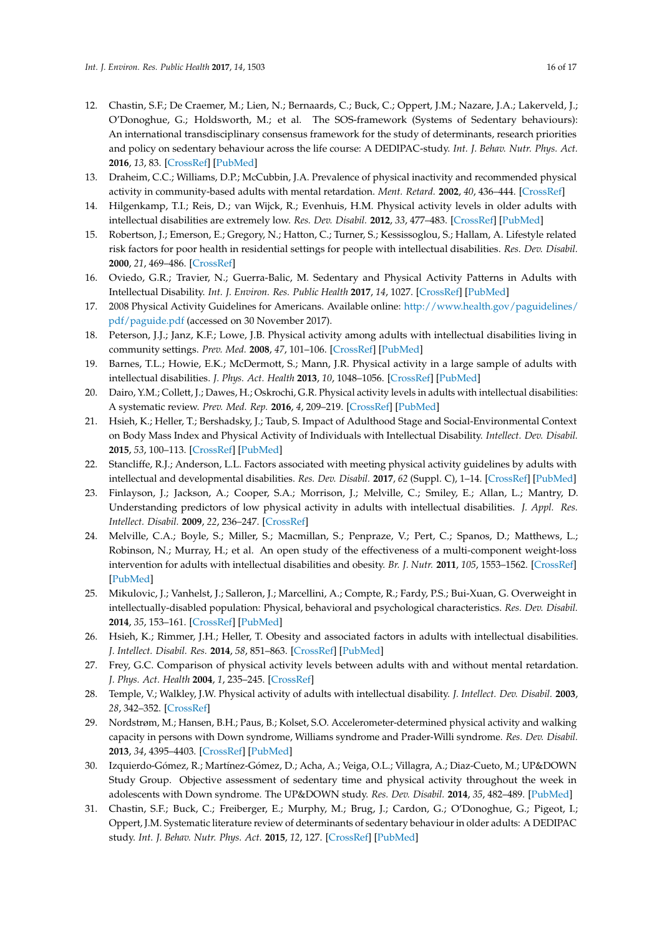- <span id="page-15-0"></span>12. Chastin, S.F.; De Craemer, M.; Lien, N.; Bernaards, C.; Buck, C.; Oppert, J.M.; Nazare, J.A.; Lakerveld, J.; O'Donoghue, G.; Holdsworth, M.; et al. The SOS-framework (Systems of Sedentary behaviours): An international transdisciplinary consensus framework for the study of determinants, research priorities and policy on sedentary behaviour across the life course: A DEDIPAC-study. *Int. J. Behav. Nutr. Phys. Act.* **2016**, *13*, 83. [\[CrossRef\]](http://dx.doi.org/10.1186/s12966-016-0409-3) [\[PubMed\]](http://www.ncbi.nlm.nih.gov/pubmed/27421750)
- <span id="page-15-1"></span>13. Draheim, C.C.; Williams, D.P.; McCubbin, J.A. Prevalence of physical inactivity and recommended physical activity in community-based adults with mental retardation. *Ment. Retard.* **2002**, *40*, 436–444. [\[CrossRef\]](http://dx.doi.org/10.1352/0047-6765(2002)040<0436:POPIAR>2.0.CO;2)
- <span id="page-15-4"></span>14. Hilgenkamp, T.I.; Reis, D.; van Wijck, R.; Evenhuis, H.M. Physical activity levels in older adults with intellectual disabilities are extremely low. *Res. Dev. Disabil.* **2012**, *33*, 477–483. [\[CrossRef\]](http://dx.doi.org/10.1016/j.ridd.2011.10.011) [\[PubMed\]](http://www.ncbi.nlm.nih.gov/pubmed/22119695)
- <span id="page-15-7"></span>15. Robertson, J.; Emerson, E.; Gregory, N.; Hatton, C.; Turner, S.; Kessissoglou, S.; Hallam, A. Lifestyle related risk factors for poor health in residential settings for people with intellectual disabilities. *Res. Dev. Disabil.* **2000**, *21*, 469–486. [\[CrossRef\]](http://dx.doi.org/10.1016/S0891-4222(00)00053-6)
- <span id="page-15-2"></span>16. Oviedo, G.R.; Travier, N.; Guerra-Balic, M. Sedentary and Physical Activity Patterns in Adults with Intellectual Disability. *Int. J. Environ. Res. Public Health* **2017**, *14*, 1027. [\[CrossRef\]](http://dx.doi.org/10.3390/ijerph14091027) [\[PubMed\]](http://www.ncbi.nlm.nih.gov/pubmed/28880236)
- <span id="page-15-3"></span>17. 2008 Physical Activity Guidelines for Americans. Available online: [http://www.health.gov/paguidelines/](http://www.health.gov/paguidelines/pdf/paguide.pdf) [pdf/paguide.pdf](http://www.health.gov/paguidelines/pdf/paguide.pdf) (accessed on 30 November 2017).
- <span id="page-15-5"></span>18. Peterson, J.J.; Janz, K.F.; Lowe, J.B. Physical activity among adults with intellectual disabilities living in community settings. *Prev. Med.* **2008**, *47*, 101–106. [\[CrossRef\]](http://dx.doi.org/10.1016/j.ypmed.2008.01.007) [\[PubMed\]](http://www.ncbi.nlm.nih.gov/pubmed/18308385)
- <span id="page-15-6"></span>19. Barnes, T.L.; Howie, E.K.; McDermott, S.; Mann, J.R. Physical activity in a large sample of adults with intellectual disabilities. *J. Phys. Act. Health* **2013**, *10*, 1048–1056. [\[CrossRef\]](http://dx.doi.org/10.1123/jpah.10.7.1048) [\[PubMed\]](http://www.ncbi.nlm.nih.gov/pubmed/23132823)
- <span id="page-15-8"></span>20. Dairo, Y.M.; Collett, J.; Dawes, H.; Oskrochi, G.R. Physical activity levels in adults with intellectual disabilities: A systematic review. *Prev. Med. Rep.* **2016**, *4*, 209–219. [\[CrossRef\]](http://dx.doi.org/10.1016/j.pmedr.2016.06.008) [\[PubMed\]](http://www.ncbi.nlm.nih.gov/pubmed/27413684)
- <span id="page-15-17"></span>21. Hsieh, K.; Heller, T.; Bershadsky, J.; Taub, S. Impact of Adulthood Stage and Social-Environmental Context on Body Mass Index and Physical Activity of Individuals with Intellectual Disability. *Intellect. Dev. Disabil.* **2015**, *53*, 100–113. [\[CrossRef\]](http://dx.doi.org/10.1352/1934-9556-53.2.100) [\[PubMed\]](http://www.ncbi.nlm.nih.gov/pubmed/25860448)
- <span id="page-15-9"></span>22. Stancliffe, R.J.; Anderson, L.L. Factors associated with meeting physical activity guidelines by adults with intellectual and developmental disabilities. *Res. Dev. Disabil.* **2017**, *62* (Suppl. C), 1–14. [\[CrossRef\]](http://dx.doi.org/10.1016/j.ridd.2017.01.009) [\[PubMed\]](http://www.ncbi.nlm.nih.gov/pubmed/28103494)
- <span id="page-15-10"></span>23. Finlayson, J.; Jackson, A.; Cooper, S.A.; Morrison, J.; Melville, C.; Smiley, E.; Allan, L.; Mantry, D. Understanding predictors of low physical activity in adults with intellectual disabilities. *J. Appl. Res. Intellect. Disabil.* **2009**, *22*, 236–247. [\[CrossRef\]](http://dx.doi.org/10.1111/j.1468-3148.2008.00433.x)
- <span id="page-15-11"></span>24. Melville, C.A.; Boyle, S.; Miller, S.; Macmillan, S.; Penpraze, V.; Pert, C.; Spanos, D.; Matthews, L.; Robinson, N.; Murray, H.; et al. An open study of the effectiveness of a multi-component weight-loss intervention for adults with intellectual disabilities and obesity. *Br. J. Nutr.* **2011**, *105*, 1553–1562. [\[CrossRef\]](http://dx.doi.org/10.1017/S0007114510005362) [\[PubMed\]](http://www.ncbi.nlm.nih.gov/pubmed/21255473)
- 25. Mikulovic, J.; Vanhelst, J.; Salleron, J.; Marcellini, A.; Compte, R.; Fardy, P.S.; Bui-Xuan, G. Overweight in intellectually-disabled population: Physical, behavioral and psychological characteristics. *Res. Dev. Disabil.* **2014**, *35*, 153–161. [\[CrossRef\]](http://dx.doi.org/10.1016/j.ridd.2013.10.012) [\[PubMed\]](http://www.ncbi.nlm.nih.gov/pubmed/24176258)
- <span id="page-15-12"></span>26. Hsieh, K.; Rimmer, J.H.; Heller, T. Obesity and associated factors in adults with intellectual disabilities. *J. Intellect. Disabil. Res.* **2014**, *58*, 851–863. [\[CrossRef\]](http://dx.doi.org/10.1111/jir.12100) [\[PubMed\]](http://www.ncbi.nlm.nih.gov/pubmed/24256455)
- <span id="page-15-13"></span>27. Frey, G.C. Comparison of physical activity levels between adults with and without mental retardation. *J. Phys. Act. Health* **2004**, *1*, 235–245. [\[CrossRef\]](http://dx.doi.org/10.1123/jpah.1.3.235)
- <span id="page-15-18"></span>28. Temple, V.; Walkley, J.W. Physical activity of adults with intellectual disability. *J. Intellect. Dev. Disabil.* **2003**, *28*, 342–352. [\[CrossRef\]](http://dx.doi.org/10.1080/13668250310001616380)
- <span id="page-15-14"></span>29. Nordstrøm, M.; Hansen, B.H.; Paus, B.; Kolset, S.O. Accelerometer-determined physical activity and walking capacity in persons with Down syndrome, Williams syndrome and Prader-Willi syndrome. *Res. Dev. Disabil.* **2013**, *34*, 4395–4403. [\[CrossRef\]](http://dx.doi.org/10.1016/j.ridd.2013.09.021) [\[PubMed\]](http://www.ncbi.nlm.nih.gov/pubmed/24139709)
- <span id="page-15-15"></span>30. Izquierdo-Gómez, R.; Martínez-Gómez, D.; Acha, A.; Veiga, O.L.; Villagra, A.; Diaz-Cueto, M.; UP&DOWN Study Group. Objective assessment of sedentary time and physical activity throughout the week in adolescents with Down syndrome. The UP&DOWN study. *Res. Dev. Disabil.* **2014**, *35*, 482–489. [\[PubMed\]](http://www.ncbi.nlm.nih.gov/pubmed/24374601)
- <span id="page-15-16"></span>31. Chastin, S.F.; Buck, C.; Freiberger, E.; Murphy, M.; Brug, J.; Cardon, G.; O'Donoghue, G.; Pigeot, I.; Oppert, J.M. Systematic literature review of determinants of sedentary behaviour in older adults: A DEDIPAC study. *Int. J. Behav. Nutr. Phys. Act.* **2015**, *12*, 127. [\[CrossRef\]](http://dx.doi.org/10.1186/s12966-015-0292-3) [\[PubMed\]](http://www.ncbi.nlm.nih.gov/pubmed/26437960)